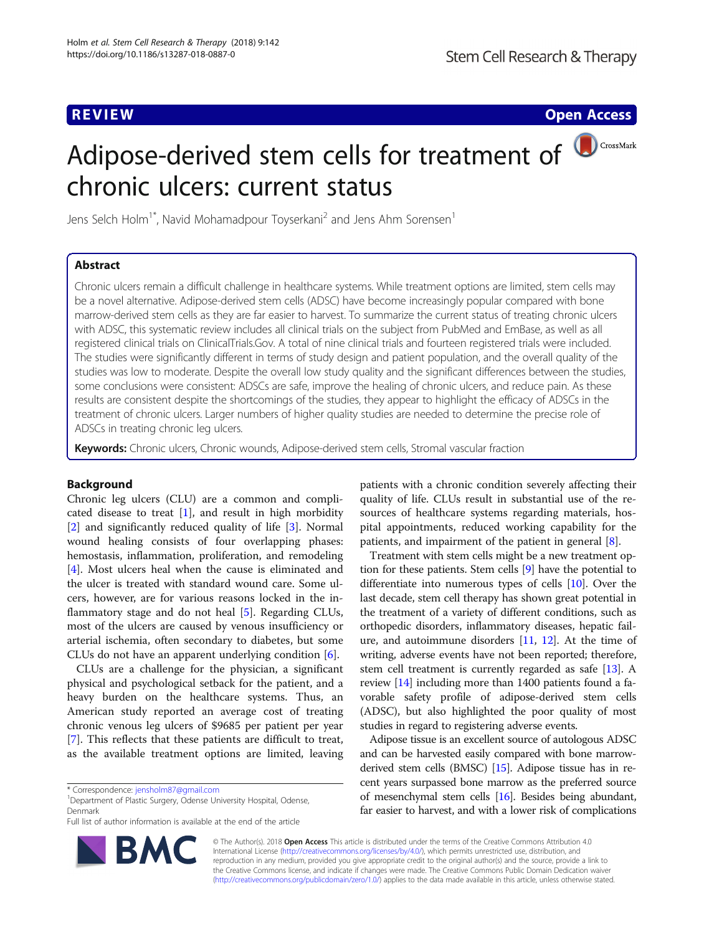**REVIEW CONTROL** CONTROL CONTROL CONTROL CONTROL CONTROL CONTROL CONTROL CONTROL CONTROL CONTROL CONTROL CONTROL

CrossMark

# Adipose-derived stem cells for treatment of chronic ulcers: current status

Jens Selch Holm<sup>1\*</sup>, Navid Mohamadpour Toyserkani<sup>2</sup> and Jens Ahm Sorensen<sup>1</sup>

# Abstract

Chronic ulcers remain a difficult challenge in healthcare systems. While treatment options are limited, stem cells may be a novel alternative. Adipose-derived stem cells (ADSC) have become increasingly popular compared with bone marrow-derived stem cells as they are far easier to harvest. To summarize the current status of treating chronic ulcers with ADSC, this systematic review includes all clinical trials on the subject from PubMed and EmBase, as well as all registered clinical trials on ClinicalTrials.Gov. A total of nine clinical trials and fourteen registered trials were included. The studies were significantly different in terms of study design and patient population, and the overall quality of the studies was low to moderate. Despite the overall low study quality and the significant differences between the studies, some conclusions were consistent: ADSCs are safe, improve the healing of chronic ulcers, and reduce pain. As these results are consistent despite the shortcomings of the studies, they appear to highlight the efficacy of ADSCs in the treatment of chronic ulcers. Larger numbers of higher quality studies are needed to determine the precise role of ADSCs in treating chronic leg ulcers.

Keywords: Chronic ulcers, Chronic wounds, Adipose-derived stem cells, Stromal vascular fraction

# Background

Chronic leg ulcers (CLU) are a common and complicated disease to treat [[1\]](#page-9-0), and result in high morbidity [[2\]](#page-10-0) and significantly reduced quality of life [[3\]](#page-10-0). Normal wound healing consists of four overlapping phases: hemostasis, inflammation, proliferation, and remodeling [[4\]](#page-10-0). Most ulcers heal when the cause is eliminated and the ulcer is treated with standard wound care. Some ulcers, however, are for various reasons locked in the inflammatory stage and do not heal [\[5](#page-10-0)]. Regarding CLUs, most of the ulcers are caused by venous insufficiency or arterial ischemia, often secondary to diabetes, but some CLUs do not have an apparent underlying condition [\[6](#page-10-0)].

CLUs are a challenge for the physician, a significant physical and psychological setback for the patient, and a heavy burden on the healthcare systems. Thus, an American study reported an average cost of treating chronic venous leg ulcers of \$9685 per patient per year [[7\]](#page-10-0). This reflects that these patients are difficult to treat, as the available treatment options are limited, leaving

Full list of author information is available at the end of the article



patients with a chronic condition severely affecting their quality of life. CLUs result in substantial use of the resources of healthcare systems regarding materials, hospital appointments, reduced working capability for the patients, and impairment of the patient in general [[8](#page-10-0)].

Treatment with stem cells might be a new treatment option for these patients. Stem cells [[9\]](#page-10-0) have the potential to differentiate into numerous types of cells [[10](#page-10-0)]. Over the last decade, stem cell therapy has shown great potential in the treatment of a variety of different conditions, such as orthopedic disorders, inflammatory diseases, hepatic failure, and autoimmune disorders [\[11](#page-10-0), [12](#page-10-0)]. At the time of writing, adverse events have not been reported; therefore, stem cell treatment is currently regarded as safe [[13](#page-10-0)]. A review [[14](#page-10-0)] including more than 1400 patients found a favorable safety profile of adipose-derived stem cells (ADSC), but also highlighted the poor quality of most studies in regard to registering adverse events.

Adipose tissue is an excellent source of autologous ADSC and can be harvested easily compared with bone marrowderived stem cells (BMSC) [\[15\]](#page-10-0). Adipose tissue has in recent years surpassed bone marrow as the preferred source of mesenchymal stem cells [\[16](#page-10-0)]. Besides being abundant, far easier to harvest, and with a lower risk of complications

© The Author(s). 2018 Open Access This article is distributed under the terms of the Creative Commons Attribution 4.0 International License [\(http://creativecommons.org/licenses/by/4.0/](http://creativecommons.org/licenses/by/4.0/)), which permits unrestricted use, distribution, and reproduction in any medium, provided you give appropriate credit to the original author(s) and the source, provide a link to the Creative Commons license, and indicate if changes were made. The Creative Commons Public Domain Dedication waiver [\(http://creativecommons.org/publicdomain/zero/1.0/](http://creativecommons.org/publicdomain/zero/1.0/)) applies to the data made available in this article, unless otherwise stated.

<sup>\*</sup> Correspondence: [jensholm87@gmail.com](mailto:jensholm87@gmail.com) <sup>1</sup>

<sup>&</sup>lt;sup>1</sup>Department of Plastic Surgery, Odense University Hospital, Odense, Denmark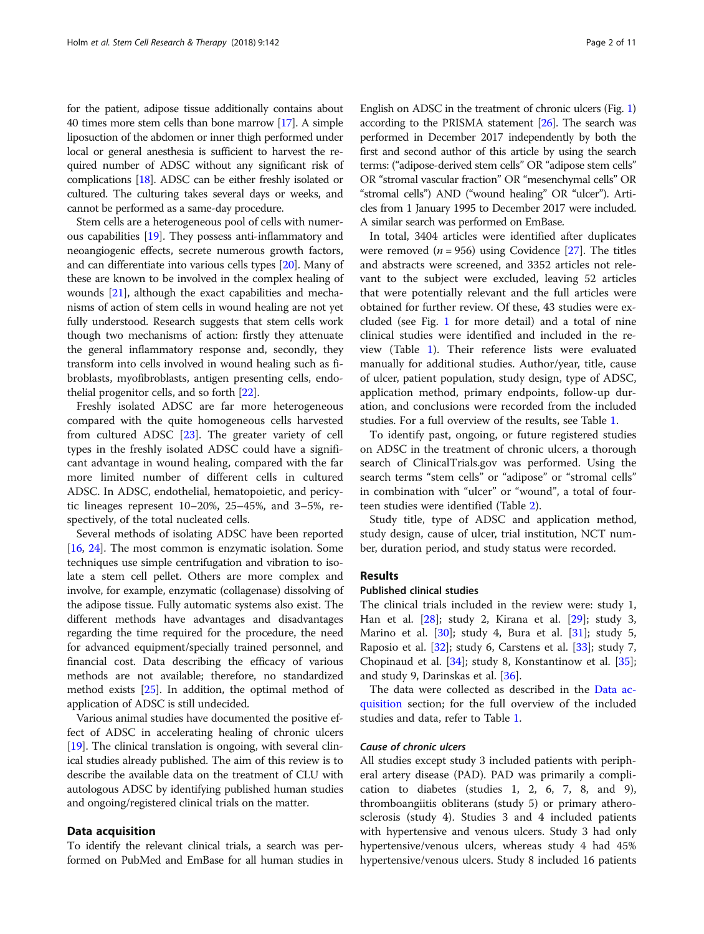for the patient, adipose tissue additionally contains about 40 times more stem cells than bone marrow [[17](#page-10-0)]. A simple liposuction of the abdomen or inner thigh performed under local or general anesthesia is sufficient to harvest the required number of ADSC without any significant risk of complications [[18\]](#page-10-0). ADSC can be either freshly isolated or cultured. The culturing takes several days or weeks, and cannot be performed as a same-day procedure.

Stem cells are a heterogeneous pool of cells with numerous capabilities [[19](#page-10-0)]. They possess anti-inflammatory and neoangiogenic effects, secrete numerous growth factors, and can differentiate into various cells types [\[20\]](#page-10-0). Many of these are known to be involved in the complex healing of wounds [[21\]](#page-10-0), although the exact capabilities and mechanisms of action of stem cells in wound healing are not yet fully understood. Research suggests that stem cells work though two mechanisms of action: firstly they attenuate the general inflammatory response and, secondly, they transform into cells involved in wound healing such as fibroblasts, myofibroblasts, antigen presenting cells, endothelial progenitor cells, and so forth [[22](#page-10-0)].

Freshly isolated ADSC are far more heterogeneous compared with the quite homogeneous cells harvested from cultured ADSC [\[23](#page-10-0)]. The greater variety of cell types in the freshly isolated ADSC could have a significant advantage in wound healing, compared with the far more limited number of different cells in cultured ADSC. In ADSC, endothelial, hematopoietic, and pericytic lineages represent 10–20%, 25–45%, and 3–5%, respectively, of the total nucleated cells.

Several methods of isolating ADSC have been reported [[16](#page-10-0), [24\]](#page-10-0). The most common is enzymatic isolation. Some techniques use simple centrifugation and vibration to isolate a stem cell pellet. Others are more complex and involve, for example, enzymatic (collagenase) dissolving of the adipose tissue. Fully automatic systems also exist. The different methods have advantages and disadvantages regarding the time required for the procedure, the need for advanced equipment/specially trained personnel, and financial cost. Data describing the efficacy of various methods are not available; therefore, no standardized method exists [\[25\]](#page-10-0). In addition, the optimal method of application of ADSC is still undecided.

Various animal studies have documented the positive effect of ADSC in accelerating healing of chronic ulcers [[19](#page-10-0)]. The clinical translation is ongoing, with several clinical studies already published. The aim of this review is to describe the available data on the treatment of CLU with autologous ADSC by identifying published human studies and ongoing/registered clinical trials on the matter.

#### Data acquisition

To identify the relevant clinical trials, a search was performed on PubMed and EmBase for all human studies in English on ADSC in the treatment of chronic ulcers (Fig. [1](#page-2-0)) according to the PRISMA statement [\[26](#page-10-0)]. The search was performed in December 2017 independently by both the first and second author of this article by using the search terms: ("adipose-derived stem cells" OR "adipose stem cells" OR "stromal vascular fraction" OR "mesenchymal cells" OR "stromal cells") AND ("wound healing" OR "ulcer"). Articles from 1 January 1995 to December 2017 were included. A similar search was performed on EmBase.

In total, 3404 articles were identified after duplicates were removed ( $n = 956$ ) using Covidence [[27](#page-10-0)]. The titles and abstracts were screened, and 3352 articles not relevant to the subject were excluded, leaving 52 articles that were potentially relevant and the full articles were obtained for further review. Of these, 43 studies were excluded (see Fig. [1](#page-2-0) for more detail) and a total of nine clinical studies were identified and included in the review (Table [1\)](#page-3-0). Their reference lists were evaluated manually for additional studies. Author/year, title, cause of ulcer, patient population, study design, type of ADSC, application method, primary endpoints, follow-up duration, and conclusions were recorded from the included studies. For a full overview of the results, see Table [1](#page-3-0).

To identify past, ongoing, or future registered studies on ADSC in the treatment of chronic ulcers, a thorough search of ClinicalTrials.gov was performed. Using the search terms "stem cells" or "adipose" or "stromal cells" in combination with "ulcer" or "wound", a total of fourteen studies were identified (Table [2\)](#page-5-0).

Study title, type of ADSC and application method, study design, cause of ulcer, trial institution, NCT number, duration period, and study status were recorded.

# Results

#### Published clinical studies

The clinical trials included in the review were: study 1, Han et al. [[28\]](#page-10-0); study 2, Kirana et al. [\[29](#page-10-0)]; study 3, Marino et al.  $[30]$  $[30]$ ; study 4, Bura et al.  $[31]$  $[31]$ ; study 5, Raposio et al.  $[32]$  $[32]$ ; study 6, Carstens et al.  $[33]$  $[33]$  $[33]$ ; study 7, Chopinaud et al. [[34\]](#page-10-0); study 8, Konstantinow et al. [\[35](#page-10-0)]; and study 9, Darinskas et al. [\[36](#page-10-0)].

The data were collected as described in the Data acquisition section; for the full overview of the included studies and data, refer to Table [1](#page-3-0).

## Cause of chronic ulcers

All studies except study 3 included patients with peripheral artery disease (PAD). PAD was primarily a complication to diabetes (studies 1, 2, 6, 7, 8, and 9), thromboangiitis obliterans (study 5) or primary atherosclerosis (study 4). Studies 3 and 4 included patients with hypertensive and venous ulcers. Study 3 had only hypertensive/venous ulcers, whereas study 4 had 45% hypertensive/venous ulcers. Study 8 included 16 patients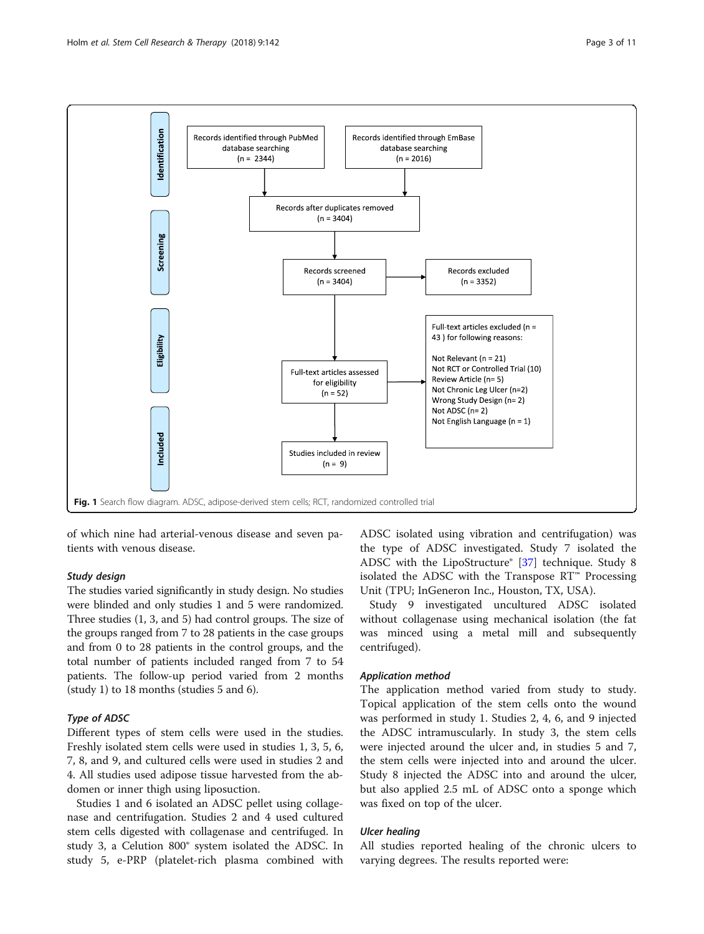<span id="page-2-0"></span>

of which nine had arterial-venous disease and seven patients with venous disease.

#### Study design

The studies varied significantly in study design. No studies were blinded and only studies 1 and 5 were randomized. Three studies (1, 3, and 5) had control groups. The size of the groups ranged from 7 to 28 patients in the case groups and from 0 to 28 patients in the control groups, and the total number of patients included ranged from 7 to 54 patients. The follow-up period varied from 2 months (study 1) to 18 months (studies 5 and 6).

# Type of ADSC

Different types of stem cells were used in the studies. Freshly isolated stem cells were used in studies 1, 3, 5, 6, 7, 8, and 9, and cultured cells were used in studies 2 and 4. All studies used adipose tissue harvested from the abdomen or inner thigh using liposuction.

Studies 1 and 6 isolated an ADSC pellet using collagenase and centrifugation. Studies 2 and 4 used cultured stem cells digested with collagenase and centrifuged. In study 3, a Celution 800® system isolated the ADSC. In study 5, e-PRP (platelet-rich plasma combined with

ADSC isolated using vibration and centrifugation) was the type of ADSC investigated. Study 7 isolated the ADSC with the LipoStructure® [[37\]](#page-10-0) technique. Study 8 isolated the ADSC with the Transpose RT™ Processing Unit (TPU; InGeneron Inc., Houston, TX, USA).

Study 9 investigated uncultured ADSC isolated without collagenase using mechanical isolation (the fat was minced using a metal mill and subsequently centrifuged).

# Application method

The application method varied from study to study. Topical application of the stem cells onto the wound was performed in study 1. Studies 2, 4, 6, and 9 injected the ADSC intramuscularly. In study 3, the stem cells were injected around the ulcer and, in studies 5 and 7, the stem cells were injected into and around the ulcer. Study 8 injected the ADSC into and around the ulcer, but also applied 2.5 mL of ADSC onto a sponge which was fixed on top of the ulcer.

# Ulcer healing

All studies reported healing of the chronic ulcers to varying degrees. The results reported were: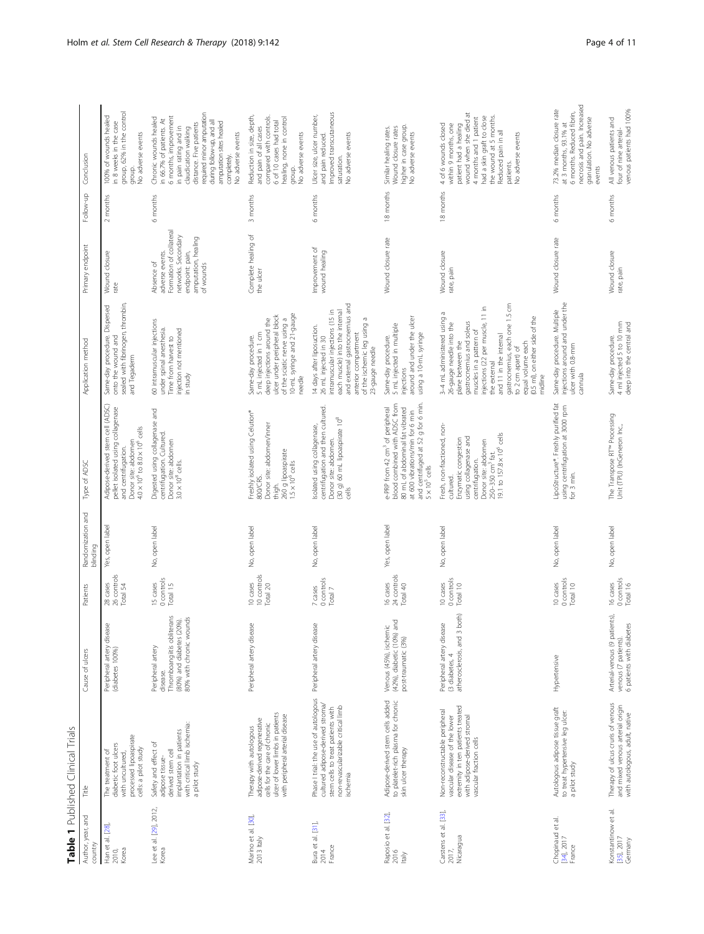<span id="page-3-0"></span>

|                                              | Table 1 Published Clinical Trials                                                                                                                                |                                                                                                                   |                                     |                               |                                                                                                                                                                                                                   |                                                                                                                                                                                                                                                                                                                                             |                                                                                                                                       |           |                                                                                                                                                                                                                                                                                 |
|----------------------------------------------|------------------------------------------------------------------------------------------------------------------------------------------------------------------|-------------------------------------------------------------------------------------------------------------------|-------------------------------------|-------------------------------|-------------------------------------------------------------------------------------------------------------------------------------------------------------------------------------------------------------------|---------------------------------------------------------------------------------------------------------------------------------------------------------------------------------------------------------------------------------------------------------------------------------------------------------------------------------------------|---------------------------------------------------------------------------------------------------------------------------------------|-----------|---------------------------------------------------------------------------------------------------------------------------------------------------------------------------------------------------------------------------------------------------------------------------------|
| Author, year, and<br>country                 | Title                                                                                                                                                            | Cause of ulcers                                                                                                   | Patients                            | Randomization and<br>blinding | Type of ADSC                                                                                                                                                                                                      | Application method                                                                                                                                                                                                                                                                                                                          | Primary endpoint                                                                                                                      | Follow-up | Conclusion                                                                                                                                                                                                                                                                      |
| Han et al. [28]<br>Korea<br>2010,            | processed lipoaspirate<br>diabetic foot ulcers<br>cells: a pilot study<br>The treatment of<br>with uncultured                                                    | Peripheral artery disease<br>(diabetes 100%)                                                                      | 28 cases<br>26 controls<br>Total 54 | Yes, open laber               | Adipose-derived stem cell (ADSC)<br>pellet isolated using collagenase<br>$4.0 \times 10^{6}$ to $8.0 \times 10^{6}$ cells<br>Donor site: abdomen<br>and centrifugation.                                           | onto the wound and<br>sealed with fibrinogen, thrombin,<br>Same-day procedure. Dispersed<br>and Tegaderm                                                                                                                                                                                                                                    | Wound closure<br>rate                                                                                                                 | 2 months  | group, 62% in the control<br>100% of wounds healed<br>in 8 weeks in the case<br>No adverse events<br>dhoib                                                                                                                                                                      |
| Lee et al. [29], 2012,<br>Korea              | with critical limb ischemia:<br>implantation in patients<br>Safety and effect of<br>derived stem cell<br>adipose tissue<br>a pilot study                         | Thromboangiitis obliterans<br>80% with chronic wounds<br>(80%) and diabetes (20%)<br>Peripheral artery<br>disease | 0 controls<br>15 cases<br>Total 15  | No, open label                | Digested using collagenase and<br>centrifugation. Cultured.<br>Donor site: abdomen<br>$3.0 \times 10^8$ cells.                                                                                                    | 60 intramuscular injections<br>under spinal anesthesia.<br>injection not mentioned<br>Time from harvest to<br>in study                                                                                                                                                                                                                      | Formation of collateral<br>networks. Secondary<br>amputation, healing<br>adverse events.<br>endpoint pain,<br>Absence of<br>of wounds | 6 months  | required minor amputation<br>6 months, improvement<br>Chronic wounds healed<br>in 66.7% of patients. At<br>during follow-up, and all<br>amputation sites healed<br>distance. Five patients<br>in pain rating and in<br>claudication walking<br>No adverse events<br>completely. |
| Marino et al. [30],<br>2013 Italy            | ulcer of lower limbs in patients<br>with peripheral arterial disease<br>adipose-derived regenerative<br>cells for the care of chronic<br>Therapy with autologous | Peripheral artery disease                                                                                         | 10 controls<br>10 cases<br>Total 20 | No, open label                | Freshly isolated using Celution®<br>Donor site: abdomen/inner<br>260 g lipoaspirate<br>$1.5 \times 10^6$ cells<br>800/CRS.<br>thigh.                                                                              | 10-mL syringe and 21-gauge<br>ulcer under peripheral block<br>of the sciatic nerve using a<br>deep injections around the<br>5 mL injected in 1 cm<br>Same-day procedure.<br>needle                                                                                                                                                          | Complete healing of<br>the ulcer                                                                                                      | 3 months  | Reduction in size, depth,<br>compared with controls.<br>healing, none in control<br>6 of 10 cases had total<br>and pain of all cases<br>No adverse events<br>aroup.                                                                                                             |
| Bura et al. [31],<br>France<br>2014          | Phase I trial: the use of autologous<br>cultured adipose-derived stroma/<br>stem cells to treat patients with<br>non-revascularizable critical limb<br>ischemia  | Peripheral artery disease                                                                                         | 0 controls<br>7 cases<br>Total 7    | No, open label                | centrifugation and then cultured<br>(30 g) 60 mL lipoaspirate 10 <sup>8</sup><br>solated using collagenase,<br>Donor site: abdomen.<br>cells                                                                      | and external gastrocnemius and<br>intramuscular injections (15 in<br>each muscle) into the internal<br>of the ischemic leg using a<br>14 days after liposuction.<br>anterior compartment<br>26 mL injected in 30<br>23-gauge needle                                                                                                         | Improvement of<br>wound healing                                                                                                       | 6 months  | Improved transcutaneous<br>Ulcer size, ulcer number,<br>No adverse events<br>and pain reduced.<br>saturation.                                                                                                                                                                   |
| Raposio et al. [32],<br>2016<br>Italy        | Adipose-derived stem cells added<br>to platelet-rich plasma for chronic<br>skin ulcer therapy                                                                    | and<br>Venous (45%), ischemic<br>(42%), diabetic (10%)<br>post-traumatic (3%)                                     | 16 cases<br>24 controls<br>Total 40 | Yes, open label               | and centrifuged at 52 g for 6 min.<br>blood combined with ADSC from<br>80 mL of abdominal fat vibrated<br>e-PRP from 42 cm <sup>3</sup> of peripheral<br>at 600 vibrations/min for 6 min<br>$5 \times 10^5$ cells | around and under the ulcer<br>5 mL injected in multiple<br>using a 10-mL syringe<br>Same-day procedure.<br>injections                                                                                                                                                                                                                       | Wound closure rate                                                                                                                    | 18 months | higher in case group.<br>No adverse events<br>Wound closure rates<br>Similar healing rates.                                                                                                                                                                                     |
| Carstens et al. [33],<br>Nicaragua<br>2017,  | extremity in ten patients treated<br>Non-reconstructable peripheral<br>with adipose-derived stromal<br>vascular disease of the lower<br>vascular fraction cells  | atherosclerosis, and 3 both)<br>Peripheral artery disease<br>(3 diabetes, 4                                       | 0 controls<br>10 cases<br>Total 10  | No, open label                | Fresh, non-fractioned, non-<br>19.1 to 157.8 × 10 <sup>6</sup> cells<br>using collagenase and<br>Enzymatic congestion<br>Donor site: abdomen<br>$250-350$ cm <sup>3</sup> fat.<br>centrifugation.<br>cultured     | gastrocnemius, each one 1.5 cm<br>injections (22 per muscle, 11 in<br>3-4 mL administered using a<br>(0.5 ml), on either side of the<br>gastrocnemius and soleus<br>26-gauge needle into the<br>muscles in a pattern of<br>and 11 in the internal<br>equal volume each<br>plane between the<br>to 2 cm apart) of<br>the external<br>midline | Wound closure<br>rate, pain                                                                                                           | 18 months | wound when she died at<br>had a skin graft to close<br>the wound at 5 months.<br>4 months and 1 patient<br>4 of 6 wounds closed<br>within 9 months, one<br>patient had a healing<br>Reduced pain in all<br>No adverse events<br>patients.                                       |
| Chopinaud et al.<br>[34], 2017<br>France     | Autologous adipose tissue graft<br>to treat hypertensive leg ulcer:<br>a pilot study                                                                             | Hypertensive                                                                                                      | 0 controls<br>10 cases<br>Total 10  | No, open label                | LipoStructure®. Freshly purified fat<br>using centrifugation at 3000 rpm<br>for 3 min.                                                                                                                            | injections around and under the<br>Same-day procedure. Multiple<br>ulcer with 0.8-mm<br>cannula                                                                                                                                                                                                                                             | Wound closure rate                                                                                                                    | 6 months  | necrosis and pain. Increased<br>73.2% median closure rate<br>6 months. Reduced fibrin,<br>granulation. No adverse<br>at 3 months, 93.1% at<br>events                                                                                                                            |
| Konstantinow et al.<br>[35], 2017<br>Germany | Therapy of ulcus cruris of venous<br>and mixed venous arterial origin<br>with autologous, adult, native                                                          | Arterial-venous (9 patients),<br>venous (7 patients).<br>6 patients with diabetes                                 | 0 controls<br>16 cases<br>Total 16  | No, open label                | The Transpose RT <sup>®</sup> Processing<br>Unit (TPU) (InGeneron Inc.,                                                                                                                                           | 4 ml injected 5 to 10 mm<br>deep into the central and<br>Same-day procedure.                                                                                                                                                                                                                                                                | Wound closure<br>rate, pain                                                                                                           | 6 months  | venous patients had 100%<br>All venous patients and<br>four of nine arterial-                                                                                                                                                                                                   |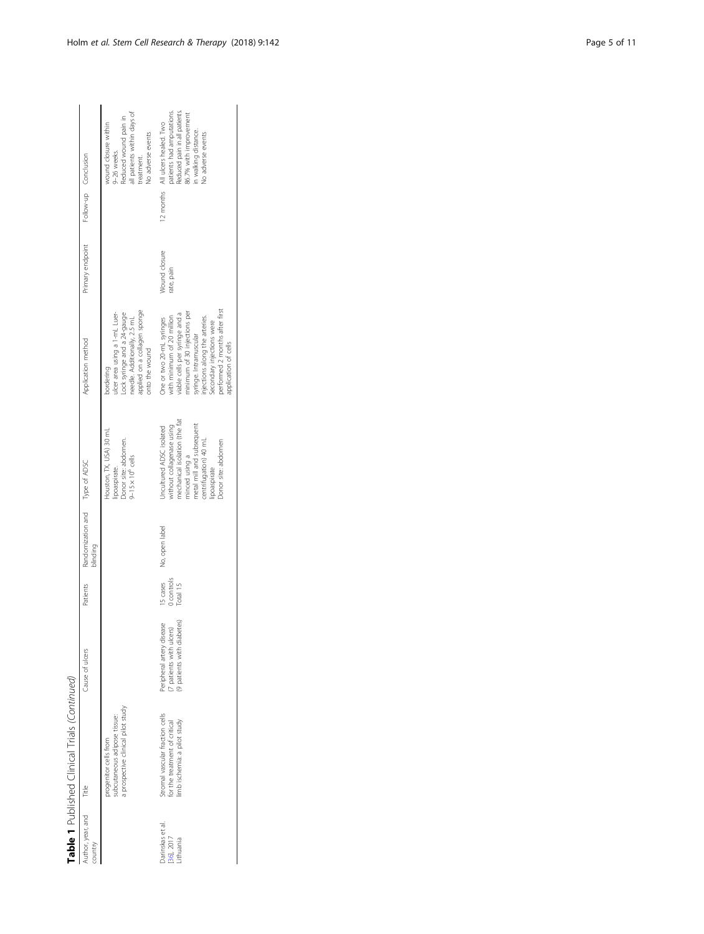| Table 1 Published Clinical Trials (Continued)        |                |          |                               |                                         |                                                      |
|------------------------------------------------------|----------------|----------|-------------------------------|-----------------------------------------|------------------------------------------------------|
| Author, year, and<br>country                         | ause of ulcers | Patients | Randomization and<br>blinding | Type of ADSC                            | polication method                                    |
| ubcutaneous adipose tissue:<br>progenitor cells from |                |          |                               | louston, TX, USA) 30 mL<br>ipoaspirate. | L Luer-<br>F<br>T<br>Jicer area using a<br>bordering |

| Author, year, and<br>ountry              | Title                                                                                            | Cause of ulcers                                                                    |                                    | Patients Randomization and Type of ADSC<br>blinding |                                                                                                                                                                                                             | Application method                                                                                                                                                                                                                                                          | Primary endpoint            | Follow-up Conclusion |                                                                                                                                                                      |
|------------------------------------------|--------------------------------------------------------------------------------------------------|------------------------------------------------------------------------------------|------------------------------------|-----------------------------------------------------|-------------------------------------------------------------------------------------------------------------------------------------------------------------------------------------------------------------|-----------------------------------------------------------------------------------------------------------------------------------------------------------------------------------------------------------------------------------------------------------------------------|-----------------------------|----------------------|----------------------------------------------------------------------------------------------------------------------------------------------------------------------|
|                                          | a prospective clinical pilot study<br>subcutaneous adipose tissue:<br>progenitor cells from      |                                                                                    |                                    |                                                     | Houston, TX, USA) 30 mL<br>Donor site: abdomen.<br>$9-15 \times 10^6$ cells<br>lipoaspirate.                                                                                                                | applied on a collagen sponge<br>ulcer area using a 1-mL Luer-<br>Lock syringe and a 24-gauge<br>needle. Additionally, 2.5 mL<br>onto the wound<br>pordering                                                                                                                 |                             |                      | all patients within days of<br>Reduced wound pain in<br>wound closure within<br>Vo adverse events<br>9-26 weeks.<br>treatment.                                       |
| arinskas et al.<br>36], 2017<br>ithuania | Stromal vascular fraction cells<br>limb ischemia: a pilot study<br>for the treatment of critical | 9 patients with diabetes)<br>Peripheral artery disease<br>(7 patients with ulcers) | 0 controls<br>15 cases<br>Total 15 | No, open label                                      | mechanical isolation (the fat<br>metal mill and subsequent<br>without collagenase using<br><b>Jncultured ADSC isolated</b><br>Donor site: abdomen<br>centrifugation) 40 mL<br>minced using a<br>ipoaspirate | performed 2 months after first<br>minimum of 30 injections per<br>viable cells per syringe and a<br>with minimum of 20 million<br>njections along the arteries.<br>One or two 20-mL syringes<br>Secondary injections were<br>syringe. Intramuscular<br>application of cells | Wound closure<br>rate, pain |                      | Reduced pain in all patients.<br>patients had amputations.<br>86.7% with improvement<br>12 months All ulcers healed. Two<br>n walking distance.<br>No adverse events |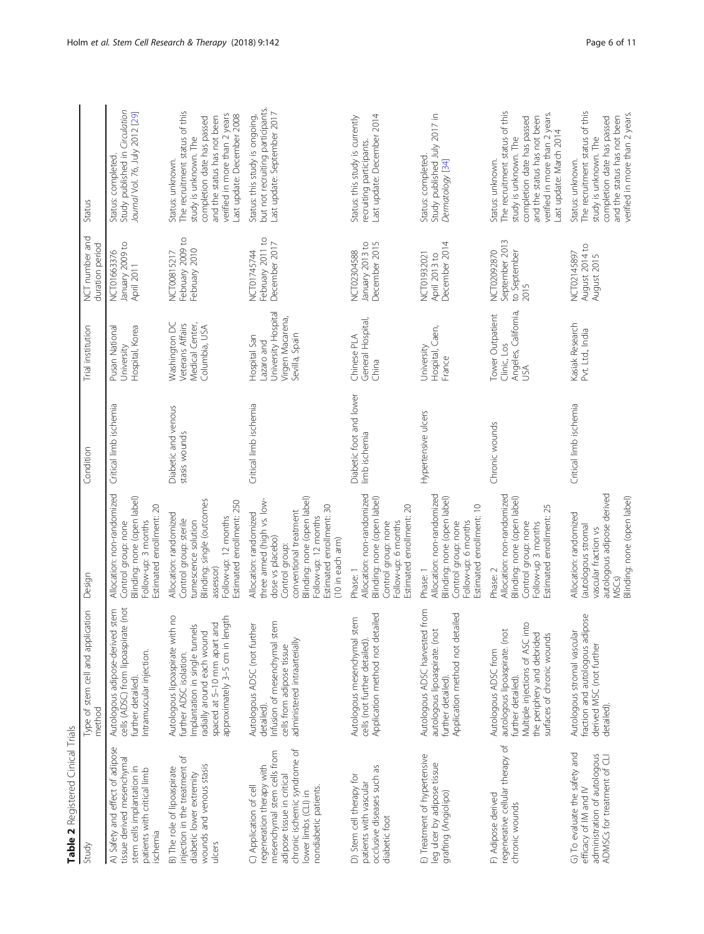<span id="page-5-0"></span>

| Table 2 Registered Cinical Trials                                                                                                                                                                 |                                                                                                                                                                                             |                                                                                                                                                                                                                                       |                                          |                                                                                         |                                                       |                                                                                                                                                                                                         |
|---------------------------------------------------------------------------------------------------------------------------------------------------------------------------------------------------|---------------------------------------------------------------------------------------------------------------------------------------------------------------------------------------------|---------------------------------------------------------------------------------------------------------------------------------------------------------------------------------------------------------------------------------------|------------------------------------------|-----------------------------------------------------------------------------------------|-------------------------------------------------------|---------------------------------------------------------------------------------------------------------------------------------------------------------------------------------------------------------|
| Study                                                                                                                                                                                             | cation<br>Type of stem cell and appli-<br>method                                                                                                                                            | Design                                                                                                                                                                                                                                | Condition                                | Trial institution                                                                       | NCT number and<br>duration period                     | Status                                                                                                                                                                                                  |
| A) Safety and effect of adipose<br>tissue derived mesenchymal<br>stem cells implantation in<br>patients with critical limb<br>ischemia                                                            | cells (ADSC) from lipoaspirate (not<br>Autologous adipose-derived stem<br>Intramuscular injection.<br>further detailed).                                                                    | Allocation: non-randomized<br>3linding: none (open label)<br>Estimated enrollment: 20<br>Follow-up: 3 months<br>Control group: none                                                                                                   | Critical limb ischemia                   | Hospital, Korea<br>Pusan National<br>University                                         | January 2009 to<br>NCT01663376<br>April 2011          | Study published in Circulation<br>Journal Vol. 76, July 2012 [29]<br>Status: completed.                                                                                                                 |
| injection in the treatment of<br>wounds and venous stasis<br>B) The role of lipoaspirate<br>diabetic lower extremity<br>ulcers                                                                    | Autologous lipoaspirate with no<br>approximately 3-5 cm in length<br>spaced at 5-10 mm apart and<br>Implantation in single tunnels<br>radially around each wound<br>further ADSC isolation. | Blinding: single (outcomes<br>Estimated enrollment: 250<br>Allocation: randomized<br>Follow-up: 12 months<br>Control group: sterile<br>tumescence solution<br>assessor)                                                               | Diabetic and venous<br>stasis wounds     | Washington DC<br>Veterans Affairs<br>Medical Center,<br>Columbia, USA                   | February 2009 to<br>February 2010<br>NCT00815217      | The recruitment status of this<br>verified in more than 2 years<br>Last update: December 2008<br>and the status has not been<br>completion date has passed<br>study is unknown. The<br>Status: unknown. |
| chronic ischemic syndrome of<br>mesenchymal stem cells from<br>regeneration therapy with<br>adipose tissue in critical<br>C) Application of cell<br>nondiabetic patients.<br>lower limbs (CLI) in | Infusion of mesenchymal stem<br>Autologous ADSC (not further<br>administered intraarterially<br>cells from adipose tissue<br>detailed)                                                      | Blinding: none (open label)<br>three armed (high vs. low-<br>Estimated enrollment: 30<br>conventional treatment<br>Allocation: randomized<br>Follow-up: 12 months<br>dose vs placebo)<br>$(10 \text{ in each arm})$<br>Control group: | Critical limb ischemia                   | University Hospital<br>Virgen Macarena,<br>Sevilla, Spain<br>Hospital San<br>Lazaro and | February 2011 to<br>December 2017<br>NCT01745744      | but not recruiting participants.<br>Last update: September 2017<br>Status: this study is ongoing,                                                                                                       |
| occlusive diseases such as<br>D) Stem cell therapy for<br>patients with vascular<br>diabetic foot                                                                                                 | Application method not detailed<br>Autologous mesenchymal stem<br>cells (not further detailed).                                                                                             | Allocation: non-randomized<br>Blinding: none (open label)<br>Estimated enrollment: 20<br>Follow-up: 6 months<br>Control group: none<br>Phase: 1                                                                                       | Diabetic foot and lower<br>limb ischemia | General Hospital,<br>Chinese PLA<br>China                                               | December 2015<br>January 2013 to<br>NCT02304588       | Last update: December 2014<br>Status: this study is currently<br>recruiting participants.                                                                                                               |
| E) Treatment of hypertensive<br>leg ulcer by adipose tissue<br>grafting (Angiolipo)                                                                                                               | Autologous ADSC harvested from<br>Application method not detailed<br>autologous lipoaspirate. (not<br>further detailed).                                                                    | Allocation: non-randomized<br>Blinding: none (open label)<br>Estimated enrollment: 10<br>Follow-up: 6 months<br>Control group: none<br>Phase: 1                                                                                       | Hypertensive ulcers                      | Hospital, Caen,<br>University<br>France                                                 | December 2014<br>NCT01932021<br>April 2013 to         | Study published July 2017 in<br>Status: completed.<br>Dermatology [34]                                                                                                                                  |
| regenerative cellular therapy of<br>F) Adipose derived<br>chronic wounds                                                                                                                          | Multiple injections of ASC into<br>autologous lipoaspirate. (not<br>the periphery and debrided<br>surfaces of chronic wounds<br>Autologous ADSC from<br>further detailed).                  | Allocation: non-randomized<br>Blinding: none (open label)<br>Estimated enrollment: 25<br>Control group: none<br>Follow-up 3 months<br>Phase: 2                                                                                        | Chronic wounds                           | Angeles, California,<br>Tower Outpatient<br>Clinic, Los<br>USA                          | September 2013<br>NCT02092870<br>to September<br>2015 | The recruitment status of this<br>verified in more than 2 years.<br>and the status has not been<br>completion date has passed<br>Last update: March 2014<br>study is unknown. The<br>Status: unknown.   |
| G) To evaluate the safety and<br>administration of autologous<br>ADMSCs for treatment of CLI<br>efficacy of IM and IV                                                                             | fraction and autologous adipose<br>Autologous stromal vascular<br>derived MSC (not further<br>detailed).                                                                                    | autologous adipose derived<br>Blinding: none (open label)<br>Allocation: randomized<br>(autologous stromal<br>vascular fraction vs<br>MSC <sub>S</sub> )                                                                              | Critical limb ischemia                   | Kasiak Research<br>Pvt. Ltd., India                                                     | August 2014 to<br>NCT02145897<br>August 2015          | The recruitment status of this<br>verified in more than 2 years.<br>and the status has not been<br>completion date has passed<br>study is unknown. The<br>Status: unknown.                              |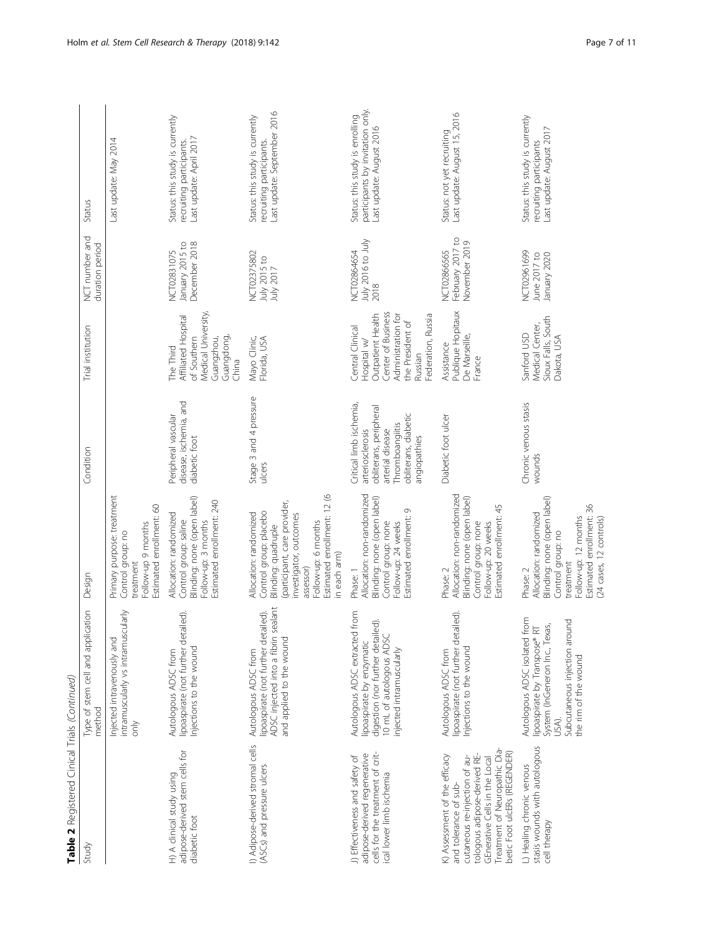| Table 2 Registered Cinical Trials (Continued)                                                                                                                                                                             |                                                                                                                                                                    |                                                                                                                                                                                                                      |                                                                                                                                                      |                                                                                                                                                       |                                                  |                                                                                                 |
|---------------------------------------------------------------------------------------------------------------------------------------------------------------------------------------------------------------------------|--------------------------------------------------------------------------------------------------------------------------------------------------------------------|----------------------------------------------------------------------------------------------------------------------------------------------------------------------------------------------------------------------|------------------------------------------------------------------------------------------------------------------------------------------------------|-------------------------------------------------------------------------------------------------------------------------------------------------------|--------------------------------------------------|-------------------------------------------------------------------------------------------------|
| Study                                                                                                                                                                                                                     | Type of stem cell and application<br>method                                                                                                                        | Design                                                                                                                                                                                                               | Condition                                                                                                                                            | Trial institution                                                                                                                                     | NCT number and<br>duration period                | Status                                                                                          |
|                                                                                                                                                                                                                           | intramuscularly vs intramuscularly<br>Injected intravenously and<br>only                                                                                           | Primary purpose: treatment<br>Estimated enrollment: 60<br>Follow-up 9 months<br>Control group: no<br>treatment                                                                                                       |                                                                                                                                                      |                                                                                                                                                       |                                                  | Last update: May 2014                                                                           |
| adipose-derived stem cells for<br>H) A clinical study using<br>diabetic foot                                                                                                                                              | lipoaspirate (not further detailed).<br>Injections to the wound<br>Autologous ADSC from                                                                            | Blinding: none (open label)<br>Estimated enrollment: 240<br>Allocation: randomized<br>Control group: saline<br>Follow-up: 3 months                                                                                   | disease, ischemia, and<br>Peripheral vascular<br>diabetic foot                                                                                       | Medical University<br>Affiliated Hospital<br>of Southern<br>Guangdong,<br>Guangzhou,<br>The Third<br>China                                            | December 2018<br>January 2015 to<br>NCT02831075  | Status: this study is currently<br>Last update: April 2017<br>recruiting participants.          |
| I) Adipose-derived stromal cells<br>(ASCs) and pressure ulcers                                                                                                                                                            | ADSC injected into a fibrin sealant<br>lipoaspirate (not further detailed).<br>and applied to the wound<br>Autologous ADSC from                                    | Estimated enrollment: 12 (6<br>(participant, care provider,<br>Control group: placebo<br>Allocation: randomized<br>investigator, outcomes<br>Follow-up: 6 months<br>Blinding: quadruple<br>in each arm)<br>assessor) | Stage 3 and 4 pressure<br>ulcers                                                                                                                     | Mayo Clinic,<br>Florida, USA                                                                                                                          | NCT02375802<br>July 2015 to<br>July 2017         | ast update: September 2016<br>Status: this study is currently<br>recruiting participants.       |
| cells for the treatment of crit-<br>adipose-derived regenerative<br>J) Effectiveness and safety of<br>ical lower limb ischemia                                                                                            | from<br>digestion (nor further detailed).<br>10 mL of autologous ADSC<br>Autologous ADSC extracted<br>lipoaspirate by enzymatic<br>injected intramuscularly        | Allocation: non-randomized<br>Blinding: none (open label)<br>Estimated enrollment: 9<br>Control group: none<br>Follow-up: 24 weeks<br>Phase: 1                                                                       | Critical limb ischemia,<br>obliterans, peripheral<br>obliterans, diabetic<br>Thromboangiitis<br>arterial disease<br>arteriosclerosis<br>angiopathies | Center of Business<br>Administration for<br>Outpatient Health<br>Federation, Russia<br>the President of<br>Central Clinical<br>Hospital w/<br>Russian | yluly 2016 to July<br>NCT02864654<br>2018        | participants by invitation only.<br>Status: this study is enrolling<br>Last update: August 2016 |
| Treatment of Neuropathic Dia-<br>betic Foot ulcERs (REGENDER)<br>K) Assessment of the efficacy<br>tologous adipose-derived RE-<br>cutaneous re-injection of au-<br>GEnerative Cells in the Local<br>and tolerance of sub- | lipoaspirate (not further detailed).<br>Injections to the wound<br>Autologous ADSC from                                                                            | Allocation: non-randomized<br>Blinding: none (open label)<br>Estimated enrollment: 45<br>Control group: none<br>Follow-up: 20 weeks<br>Phase: 2                                                                      | Diabetic foot ulcer                                                                                                                                  | Publique Hopitaux<br>De Marseille,<br>Assistance<br>France                                                                                            | February 2017 to<br>November 2019<br>NCT02866565 | Last update: August 15, 2016<br>Status: not yet recruiting                                      |
| stasis wounds with autologous<br>L) Healing chronic venous<br>cell therapy                                                                                                                                                | Autologous ADSC isolated from<br>Subcutaneous injection around<br>System (InGeneron Inc., Texas,<br>lipoaspirate by Transpose® RT<br>the rim of the wound<br>USA). | Blinding: none (open label)<br>Estimated enrollment: 36<br>Allocation: randomized<br>Follow-up: 12 months<br>(24 cases, 12 controls)<br>Control group: no<br>treatment<br>Phase: 2                                   | Chronic venous stasis<br>wounds                                                                                                                      | Sioux Falls, South<br>Medical Center,<br>Sanford USD<br>Dakota, USA                                                                                   | NCT02961699<br>June 2017 to<br>January 2020      | Status: this study is currently<br>Last update: August 2017<br>recruiting participants          |

Holm et al. Stem Cell Research & Therapy (2018) 9:142 eras and the state of the state of the Page 7 of 11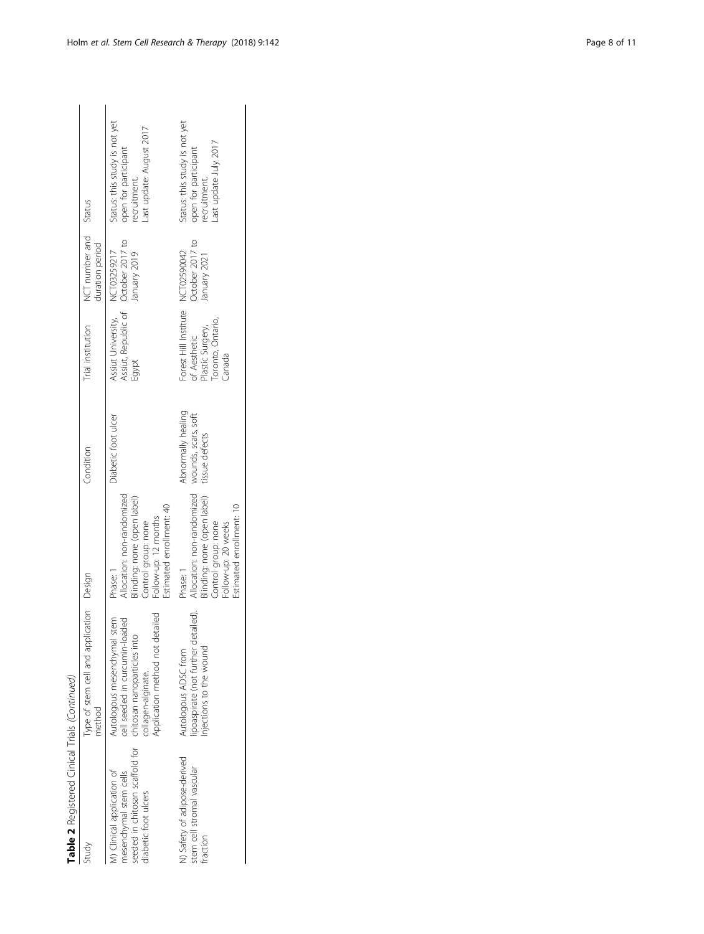| Table 2 Registered Cinical Trials (Continued)                                                                                                |                                                                                                                           |                                                                                                                                                  |                                                             |                                                                                                             |                                   |                                                                                                  |
|----------------------------------------------------------------------------------------------------------------------------------------------|---------------------------------------------------------------------------------------------------------------------------|--------------------------------------------------------------------------------------------------------------------------------------------------|-------------------------------------------------------------|-------------------------------------------------------------------------------------------------------------|-----------------------------------|--------------------------------------------------------------------------------------------------|
| Study                                                                                                                                        | Type of stem cell and application Design<br>method                                                                        |                                                                                                                                                  | Condition                                                   | Trial institution                                                                                           | NCT number and<br>duration period | Status                                                                                           |
| seeded in chitosan scaffold for chitosan nanoparticles into<br>Vi) Clinical application of<br>nesenchymal stem cells<br>diabetic foot ulcers | Application method not detailed<br>stem<br>cell seeded in curcumin-loaded<br>Autologous mesenchymal<br>collagen-alginate. | Allocation: non-randomized<br>Blinding: none (open label)<br>Estimated enrollment: 40<br>Follow-up: 12 months<br>Control group: none<br>Phase: 1 | Diabetic foot ulcer                                         | Assiut, Republic of October 2017 to<br>Assiut University, NCT03259217<br>Egypt                              | January 2019                      | Status: this study is not yet<br>ast update: August 2017<br>open for participant<br>recruitment. |
| N) Safety of adipose-derived<br>stem cell stromal vascular<br>fraction                                                                       | ipoaspirate (not further detailed).<br>njections to the wound<br>Autologous ADSC from                                     | Allocation: non-randomized<br>Blinding: none (open label)<br>Estimated enrollment: 10<br>Control group: none<br>Follow-up: 20 weeks<br>Phase: 1  | Abnormally healing<br>wounds, scars, soft<br>tissue defects | Forest Hill Institute NCT02590042<br>Toronto, Ontario,<br>Plastic Surgery,<br>of Aesthetic<br><b>G</b> bene | October 2017 to<br>January 2021   | Status: this study is not yet<br>ast update July 2017<br>open for participant<br>ecruitment.     |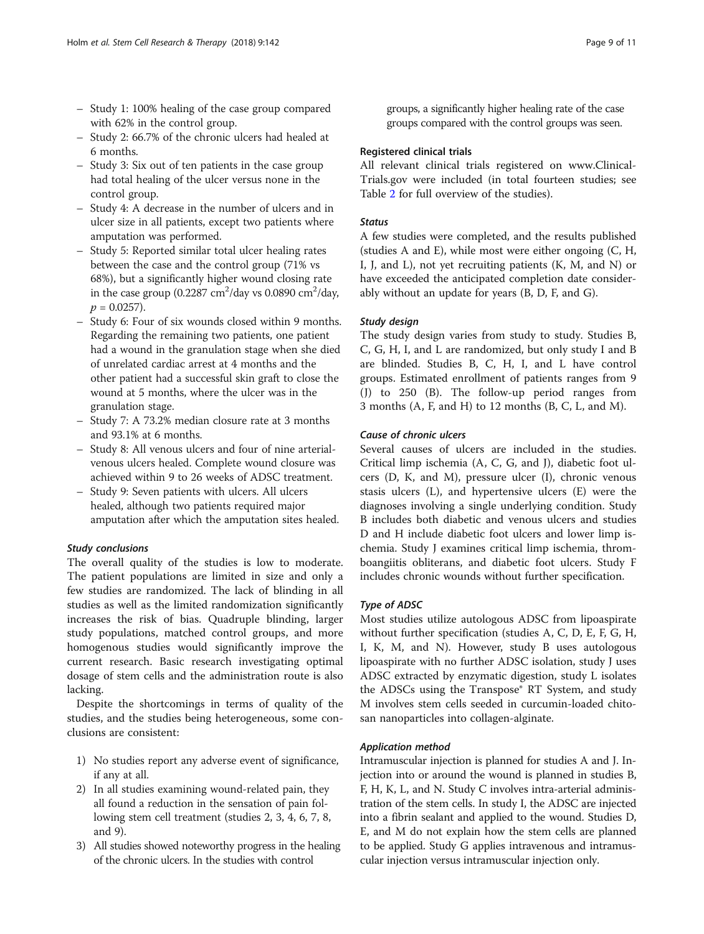- Study 1: 100% healing of the case group compared with 62% in the control group.
- Study 2: 66.7% of the chronic ulcers had healed at 6 months.
- Study 3: Six out of ten patients in the case group had total healing of the ulcer versus none in the control group.
- Study 4: A decrease in the number of ulcers and in ulcer size in all patients, except two patients where amputation was performed.
- Study 5: Reported similar total ulcer healing rates between the case and the control group (71% vs 68%), but a significantly higher wound closing rate in the case group (0.2287 cm<sup>2</sup>/day vs 0.0890 cm<sup>2</sup>/day,  $p = 0.0257$ ).
- Study 6: Four of six wounds closed within 9 months. Regarding the remaining two patients, one patient had a wound in the granulation stage when she died of unrelated cardiac arrest at 4 months and the other patient had a successful skin graft to close the wound at 5 months, where the ulcer was in the granulation stage.
- Study 7: A 73.2% median closure rate at 3 months and 93.1% at 6 months.
- Study 8: All venous ulcers and four of nine arterialvenous ulcers healed. Complete wound closure was achieved within 9 to 26 weeks of ADSC treatment.
- Study 9: Seven patients with ulcers. All ulcers healed, although two patients required major amputation after which the amputation sites healed.

#### Study conclusions

The overall quality of the studies is low to moderate. The patient populations are limited in size and only a few studies are randomized. The lack of blinding in all studies as well as the limited randomization significantly increases the risk of bias. Quadruple blinding, larger study populations, matched control groups, and more homogenous studies would significantly improve the current research. Basic research investigating optimal dosage of stem cells and the administration route is also lacking.

Despite the shortcomings in terms of quality of the studies, and the studies being heterogeneous, some conclusions are consistent:

- 1) No studies report any adverse event of significance, if any at all.
- 2) In all studies examining wound-related pain, they all found a reduction in the sensation of pain following stem cell treatment (studies 2, 3, 4, 6, 7, 8, and 9).
- 3) All studies showed noteworthy progress in the healing of the chronic ulcers. In the studies with control

groups, a significantly higher healing rate of the case groups compared with the control groups was seen.

# Registered clinical trials

All relevant clinical trials registered on www.Clinical-Trials.gov were included (in total fourteen studies; see Table [2](#page-5-0) for full overview of the studies).

# Status

A few studies were completed, and the results published (studies A and E), while most were either ongoing (C, H, I, J, and L), not yet recruiting patients (K, M, and N) or have exceeded the anticipated completion date considerably without an update for years (B, D, F, and G).

# Study design

The study design varies from study to study. Studies B, C, G, H, I, and L are randomized, but only study I and B are blinded. Studies B, C, H, I, and L have control groups. Estimated enrollment of patients ranges from 9 (J) to 250 (B). The follow-up period ranges from 3 months (A, F, and H) to 12 months (B, C, L, and M).

# Cause of chronic ulcers

Several causes of ulcers are included in the studies. Critical limp ischemia (A, C, G, and J), diabetic foot ulcers (D, K, and M), pressure ulcer (I), chronic venous stasis ulcers (L), and hypertensive ulcers (E) were the diagnoses involving a single underlying condition. Study B includes both diabetic and venous ulcers and studies D and H include diabetic foot ulcers and lower limp ischemia. Study J examines critical limp ischemia, thromboangiitis obliterans, and diabetic foot ulcers. Study F includes chronic wounds without further specification.

#### Type of ADSC

Most studies utilize autologous ADSC from lipoaspirate without further specification (studies A, C, D, E, F, G, H, I, K, M, and N). However, study B uses autologous lipoaspirate with no further ADSC isolation, study J uses ADSC extracted by enzymatic digestion, study L isolates the ADSCs using the Transpose® RT System, and study M involves stem cells seeded in curcumin-loaded chitosan nanoparticles into collagen-alginate.

#### Application method

Intramuscular injection is planned for studies A and J. Injection into or around the wound is planned in studies B, F, H, K, L, and N. Study C involves intra-arterial administration of the stem cells. In study I, the ADSC are injected into a fibrin sealant and applied to the wound. Studies D, E, and M do not explain how the stem cells are planned to be applied. Study G applies intravenous and intramuscular injection versus intramuscular injection only.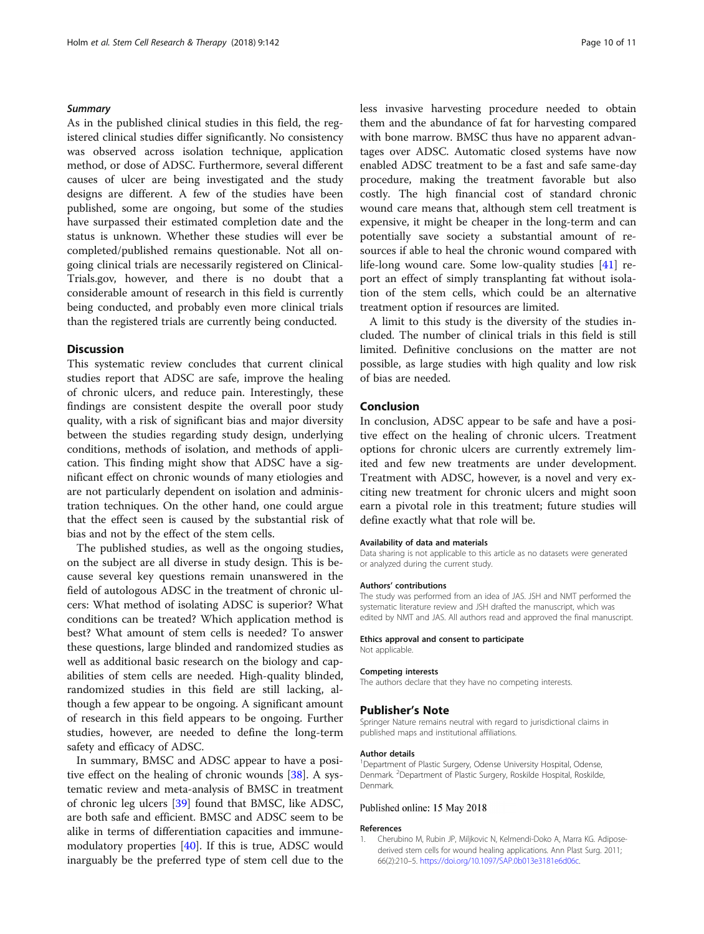#### <span id="page-9-0"></span>**Summary**

As in the published clinical studies in this field, the registered clinical studies differ significantly. No consistency was observed across isolation technique, application method, or dose of ADSC. Furthermore, several different causes of ulcer are being investigated and the study designs are different. A few of the studies have been published, some are ongoing, but some of the studies have surpassed their estimated completion date and the status is unknown. Whether these studies will ever be completed/published remains questionable. Not all ongoing clinical trials are necessarily registered on Clinical-Trials.gov, however, and there is no doubt that a considerable amount of research in this field is currently being conducted, and probably even more clinical trials than the registered trials are currently being conducted.

#### **Discussion**

This systematic review concludes that current clinical studies report that ADSC are safe, improve the healing of chronic ulcers, and reduce pain. Interestingly, these findings are consistent despite the overall poor study quality, with a risk of significant bias and major diversity between the studies regarding study design, underlying conditions, methods of isolation, and methods of application. This finding might show that ADSC have a significant effect on chronic wounds of many etiologies and are not particularly dependent on isolation and administration techniques. On the other hand, one could argue that the effect seen is caused by the substantial risk of bias and not by the effect of the stem cells.

The published studies, as well as the ongoing studies, on the subject are all diverse in study design. This is because several key questions remain unanswered in the field of autologous ADSC in the treatment of chronic ulcers: What method of isolating ADSC is superior? What conditions can be treated? Which application method is best? What amount of stem cells is needed? To answer these questions, large blinded and randomized studies as well as additional basic research on the biology and capabilities of stem cells are needed. High-quality blinded, randomized studies in this field are still lacking, although a few appear to be ongoing. A significant amount of research in this field appears to be ongoing. Further studies, however, are needed to define the long-term safety and efficacy of ADSC.

In summary, BMSC and ADSC appear to have a positive effect on the healing of chronic wounds [\[38\]](#page-10-0). A systematic review and meta-analysis of BMSC in treatment of chronic leg ulcers [[39](#page-10-0)] found that BMSC, like ADSC, are both safe and efficient. BMSC and ADSC seem to be alike in terms of differentiation capacities and immunemodulatory properties [[40\]](#page-10-0). If this is true, ADSC would inarguably be the preferred type of stem cell due to the less invasive harvesting procedure needed to obtain them and the abundance of fat for harvesting compared with bone marrow. BMSC thus have no apparent advantages over ADSC. Automatic closed systems have now enabled ADSC treatment to be a fast and safe same-day procedure, making the treatment favorable but also costly. The high financial cost of standard chronic wound care means that, although stem cell treatment is expensive, it might be cheaper in the long-term and can potentially save society a substantial amount of resources if able to heal the chronic wound compared with life-long wound care. Some low-quality studies [[41\]](#page-10-0) report an effect of simply transplanting fat without isolation of the stem cells, which could be an alternative treatment option if resources are limited.

A limit to this study is the diversity of the studies included. The number of clinical trials in this field is still limited. Definitive conclusions on the matter are not possible, as large studies with high quality and low risk of bias are needed.

#### Conclusion

In conclusion, ADSC appear to be safe and have a positive effect on the healing of chronic ulcers. Treatment options for chronic ulcers are currently extremely limited and few new treatments are under development. Treatment with ADSC, however, is a novel and very exciting new treatment for chronic ulcers and might soon earn a pivotal role in this treatment; future studies will define exactly what that role will be.

#### Availability of data and materials

Data sharing is not applicable to this article as no datasets were generated or analyzed during the current study.

#### Authors' contributions

The study was performed from an idea of JAS. JSH and NMT performed the systematic literature review and JSH drafted the manuscript, which was edited by NMT and JAS. All authors read and approved the final manuscript.

#### Ethics approval and consent to participate

Not applicable.

#### Competing interests

The authors declare that they have no competing interests.

#### Publisher's Note

Springer Nature remains neutral with regard to jurisdictional claims in published maps and institutional affiliations.

#### Author details

<sup>1</sup>Department of Plastic Surgery, Odense University Hospital, Odense, Denmark. <sup>2</sup>Department of Plastic Surgery, Roskilde Hospital, Roskilde, Denmark.

#### Published online: 15 May 2018

#### References

1. Cherubino M, Rubin JP, Miljkovic N, Kelmendi-Doko A, Marra KG. Adiposederived stem cells for wound healing applications. Ann Plast Surg. 2011; 66(2):210–5. [https://doi.org/10.1097/SAP.0b013e3181e6d06c.](https://doi.org/10.1097/SAP.0b013e3181e6d06c)